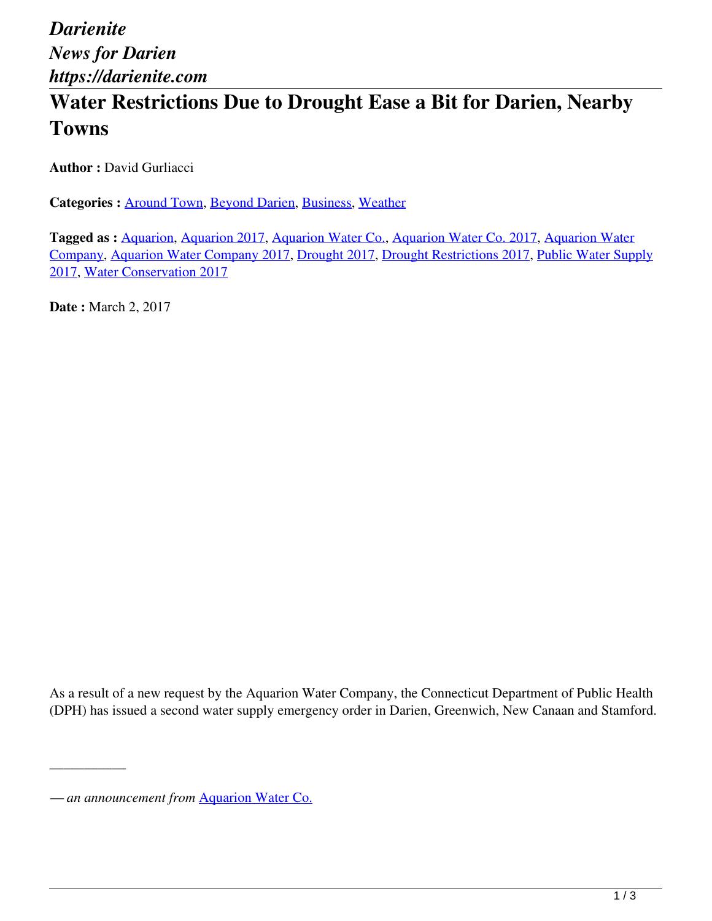## **Water Restrictions Due to Drought Ease a Bit for Darien, Nearby Towns**

**Author :** David Gurliacci

**Categories :** [Around Town,](https://darienite.com/category/news/around-town) Beyond Darien, Business, Weather

**Tagged as :** Aquarion, Aquarion 2017, Aquarion Water Co., Aquarion Water Co. 2017, Aquarion Water Company, Aquarion Water Company 2017, Drought 2017, Drought Restrictions 2017, Public Water Supply 2017, Water Conservation 2017

**Date :** March 2, 2017

As a result of a new request by the Aquarion Water Company, the Connecticut Department of Public Health (DPH) has issued a second water supply emergency order in Darien, Greenwich, New Canaan and Stamford.

\_\_\_\_\_\_\_\_\_\_\_

*<sup>—</sup> an announcement from* Aquarion Water Co.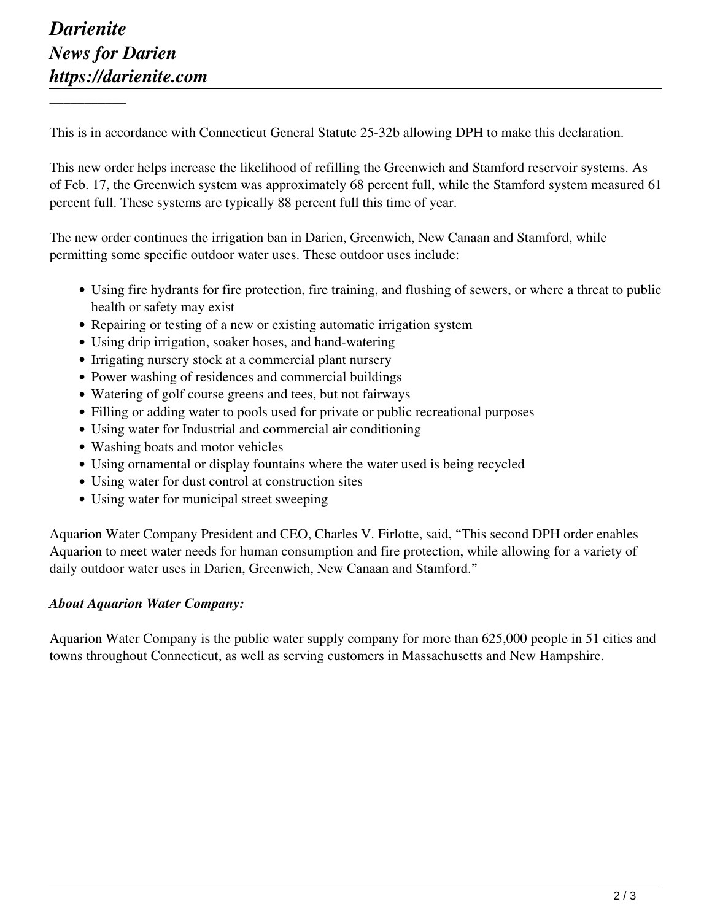\_\_\_\_\_\_\_\_\_\_\_

This is in accordance with Connecticut General Statute 25-32b allowing DPH to make this declaration.

This new order helps increase the likelihood of refilling the Greenwich and Stamford reservoir systems. As of Feb. 17, the Greenwich system was approximately 68 percent full, while the Stamford system measured 61 percent full. These systems are typically 88 percent full this time of year.

The new order continues the irrigation ban in Darien, Greenwich, New Canaan and Stamford, while permitting some specific outdoor water uses. These outdoor uses include:

- Using fire hydrants for fire protection, fire training, and flushing of sewers, or where a threat to public health or safety may exist
- Repairing or testing of a new or existing automatic irrigation system
- Using drip irrigation, soaker hoses, and hand-watering
- Irrigating nursery stock at a commercial plant nursery
- Power washing of residences and commercial buildings
- Watering of golf course greens and tees, but not fairways
- Filling or adding water to pools used for private or public recreational purposes
- Using water for Industrial and commercial air conditioning
- Washing boats and motor vehicles
- Using ornamental or display fountains where the water used is being recycled
- Using water for dust control at construction sites
- Using water for municipal street sweeping

Aquarion Water Company President and CEO, Charles V. Firlotte, said, "This second DPH order enables Aquarion to meet water needs for human consumption and fire protection, while allowing for a variety of daily outdoor water uses in Darien, Greenwich, New Canaan and Stamford."

## *About Aquarion Water Company:*

Aquarion Water Company is the public water supply company for more than 625,000 people in 51 cities and towns throughout Connecticut, as well as serving customers in Massachusetts and New Hampshire.